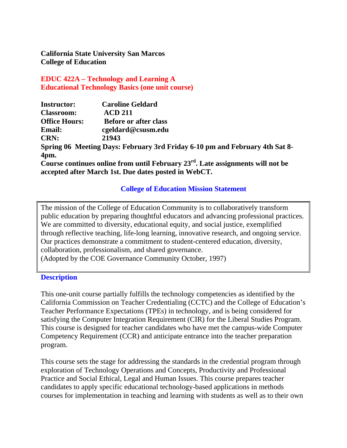**California State University San Marcos College of Education**

**EDUC 422A – Technology and Learning A Educational Technology Basics (one unit course)**

| <b>Instructor:</b>   | <b>Caroline Geldard</b>                                                              |
|----------------------|--------------------------------------------------------------------------------------|
| <b>Classroom:</b>    | <b>ACD 211</b>                                                                       |
| <b>Office Hours:</b> | <b>Before or after class</b>                                                         |
| <b>Email:</b>        | cgeldard@csusm.edu                                                                   |
| <b>CRN:</b>          | 21943                                                                                |
|                      | Spring 06 Meeting Days: February 3rd Friday 6-10 pm and February 4th Sat 8-          |
| 4pm.                 |                                                                                      |
|                      | Course continues online from until February $23^{rd}$ . Late assignments will not be |
|                      | accepted after March 1st. Due dates posted in WebCT.                                 |

#### **College of Education Mission Statement**

The mission of the College of Education Community is to collaboratively transform public education by preparing thoughtful educators and advancing professional practices. We are committed to diversity, educational equity, and social justice, exemplified through reflective teaching, life-long learning, innovative research, and ongoing service. Our practices demonstrate a commitment to student-centered education, diversity, collaboration, professionalism, and shared governance. (Adopted by the COE Governance Community October, 1997)

#### **Description**

This one-unit course partially fulfills the technology competencies as identified by the California Commission on Teacher Credentialing (CCTC) and the College of Education's Teacher Performance Expectations (TPEs) in technology, and is being considered for satisfying the Computer Integration Requirement (CIR) for the Liberal Studies Program. This course is designed for teacher candidates who have met the campus-wide Computer Competency Requirement (CCR) and anticipate entrance into the teacher preparation program.

This course sets the stage for addressing the standards in the credential program through exploration of Technology Operations and Concepts, Productivity and Professional Practice and Social Ethical, Legal and Human Issues. This course prepares teacher candidates to apply specific educational technology-based applications in methods courses for implementation in teaching and learning with students as well as to their own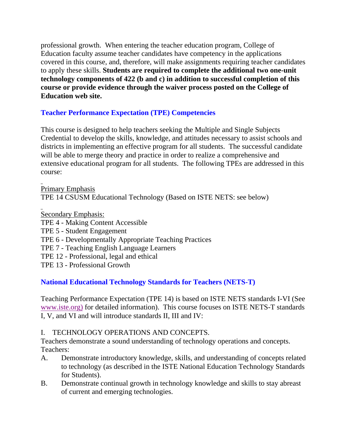professional growth. When entering the teacher education program, College of Education faculty assume teacher candidates have competency in the applications covered in this course, and, therefore, will make assignments requiring teacher candidates to apply these skills. **Students are required to complete the additional two one-unit technology components of 422 (b and c) in addition to successful completion of this course or provide evidence through the waiver process posted on the College of Education web site.**

## **Teacher Performance Expectation (TPE) Competencies**

This course is designed to help teachers seeking the Multiple and Single Subjects Credential to develop the skills, knowledge, and attitudes necessary to assist schools and districts in implementing an effective program for all students. The successful candidate will be able to merge theory and practice in order to realize a comprehensive and extensive educational program for all students. The following TPEs are addressed in this course:

Primary Emphasis TPE 14 CSUSM Educational Technology (Based on ISTE NETS: see below)

Secondary Emphasis:

- TPE 4 Making Content Accessible
- TPE 5 Student Engagement
- TPE 6 Developmentally Appropriate Teaching Practices
- TPE 7 Teaching English Language Learners
- TPE 12 Professional, legal and ethical
- TPE 13 Professional Growth

# **National Educational Technology Standards for Teachers (NETS-T)**

Teaching Performance Expectation (TPE 14) is based on ISTE NETS standards I-VI (See www.iste.org) for detailed information). This course focuses on ISTE NETS-T standards I, V, and VI and will introduce standards II, III and IV:

### I. TECHNOLOGY OPERATIONS AND CONCEPTS.

Teachers demonstrate a sound understanding of technology operations and concepts. Teachers:

- A. Demonstrate introductory knowledge, skills, and understanding of concepts related to technology (as described in the ISTE National Education Technology Standards for Students).
- B. Demonstrate continual growth in technology knowledge and skills to stay abreast of current and emerging technologies.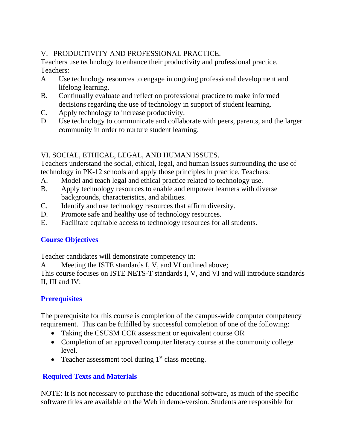## V. PRODUCTIVITY AND PROFESSIONAL PRACTICE.

Teachers use technology to enhance their productivity and professional practice. Teachers:

- A. Use technology resources to engage in ongoing professional development and lifelong learning.
- B. Continually evaluate and reflect on professional practice to make informed decisions regarding the use of technology in support of student learning.
- C. Apply technology to increase productivity.
- D. Use technology to communicate and collaborate with peers, parents, and the larger community in order to nurture student learning.

## VI. SOCIAL, ETHICAL, LEGAL, AND HUMAN ISSUES.

Teachers understand the social, ethical, legal, and human issues surrounding the use of technology in PK-12 schools and apply those principles in practice. Teachers:

- A. Model and teach legal and ethical practice related to technology use.
- B. Apply technology resources to enable and empower learners with diverse backgrounds, characteristics, and abilities.
- C. Identify and use technology resources that affirm diversity.
- D. Promote safe and healthy use of technology resources.
- E. Facilitate equitable access to technology resources for all students.

# **Course Objectives**

Teacher candidates will demonstrate competency in:

A. Meeting the ISTE standards I, V, and VI outlined above;

This course focuses on ISTE NETS-T standards I, V, and VI and will introduce standards II, III and IV:

### **Prerequisites**

The prerequisite for this course is completion of the campus-wide computer competency requirement. This can be fulfilled by successful completion of one of the following:

- Taking the CSUSM CCR assessment or equivalent course OR
- Completion of an approved computer literacy course at the community college level.
- Teacher assessment tool during  $1<sup>st</sup>$  class meeting.

# **Required Texts and Materials**

NOTE: It is not necessary to purchase the educational software, as much of the specific software titles are available on the Web in demo-version. Students are responsible for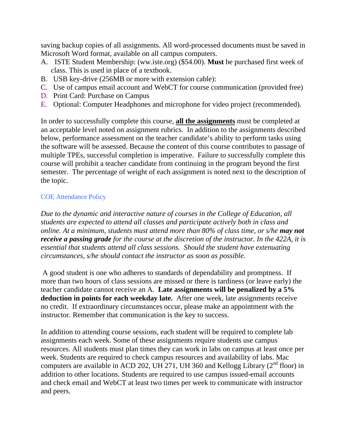saving backup copies of all assignments. All word-processed documents must be saved in Microsoft Word format, available on all campus computers.

- A. ISTE Student Membership: (ww.iste.org) (\$54.00). **Must** be purchased first week of class. This is used in place of a textbook.
- B. USB key-drive (256MB or more with extension cable):
- C. Use of campus email account and WebCT for course communication (provided free)
- D. Print Card: Purchase on Campus
- E. Optional: Computer Headphones and microphone for video project (recommended).

In order to successfully complete this course, **all the assignments** must be completed at an acceptable level noted on assignment rubrics. In addition to the assignments described below, performance assessment on the teacher candidate's ability to perform tasks using the software will be assessed. Because the content of this course contributes to passage of multiple TPEs, successful completion is imperative. Failure to successfully complete this course will prohibit a teacher candidate from continuing in the program beyond the first semester. The percentage of weight of each assignment is noted next to the description of the topic.

#### COE Attendance Policy

*Due to the dynamic and interactive nature of courses in the College of Education, all students are expected to attend all classes and participate actively both in class and online. At a minimum, students must attend more than 80% of class time, or s/he may not receive a passing grade for the course at the discretion of the instructor. In the 422A, it is essential that students attend all class sessions. Should the student have extenuating circumstances, s/he should contact the instructor as soon as possible.*

 A good student is one who adheres to standards of dependability and promptness. If more than two hours of class sessions are missed or there is tardiness (or leave early) the teacher candidate cannot receive an A. **Late assignments will be penalized by a 5% deduction in points for each weekday late.** After one week, late assignments receive no credit. If extraordinary circumstances occur, please make an appointment with the instructor. Remember that communication is the key to success.

In addition to attending course sessions, each student will be required to complete lab assignments each week. Some of these assignments require students use campus resources. All students must plan times they can work in labs on campus at least once per week. Students are required to check campus resources and availability of labs. Mac computers are available in ACD 202, UH 271, UH 360 and Kellogg Library  $(2^{nd}$  floor) in addition to other locations. Students are required to use campus issued-email accounts and check email and WebCT at least two times per week to communicate with instructor and peers.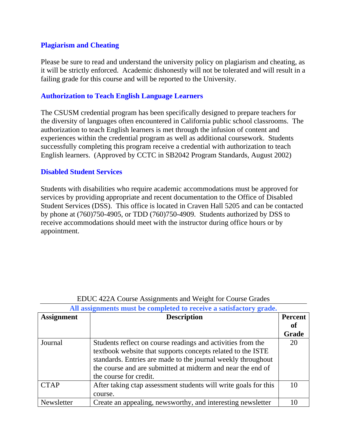#### **Plagiarism and Cheating**

Please be sure to read and understand the university policy on plagiarism and cheating, as it will be strictly enforced. Academic dishonestly will not be tolerated and will result in a failing grade for this course and will be reported to the University.

#### **Authorization to Teach English Language Learners**

The CSUSM credential program has been specifically designed to prepare teachers for the diversity of languages often encountered in California public school classrooms. The authorization to teach English learners is met through the infusion of content and experiences within the credential program as well as additional coursework. Students successfully completing this program receive a credential with authorization to teach English learners. (Approved by CCTC in SB2042 Program Standards, August 2002)

#### **Disabled Student Services**

Students with disabilities who require academic accommodations must be approved for services by providing appropriate and recent documentation to the Office of Disabled Student Services (DSS). This office is located in Craven Hall 5205 and can be contacted by phone at (760)750-4905, or TDD (760)750-4909. Students authorized by DSS to receive accommodations should meet with the instructor during office hours or by appointment.

| <b>Assignment</b> | <b>Description</b>                                              |       |
|-------------------|-----------------------------------------------------------------|-------|
|                   |                                                                 | 0ľ    |
|                   |                                                                 | Grade |
| Journal           | Students reflect on course readings and activities from the     | 20    |
|                   | textbook website that supports concepts related to the ISTE     |       |
|                   | standards. Entries are made to the journal weekly throughout    |       |
|                   | the course and are submitted at midterm and near the end of     |       |
|                   | the course for credit.                                          |       |
| <b>CTAP</b>       | After taking ctap assessment students will write goals for this | 10    |
|                   | course.                                                         |       |
| Newsletter        | Create an appealing, newsworthy, and interesting newsletter     |       |

#### EDUC 422A Course Assignments and Weight for Course Grades **All assignments must be completed to receive a satisfactory grade.**